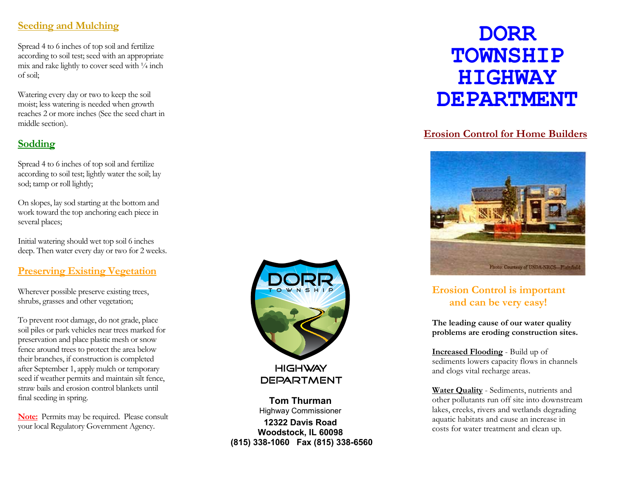#### **Seeding and Mulching**

Spread 4 to 6 inches of top soil and fertilize according to soil test; seed with an appropriate mix and rake lightly to cover seed with  $\frac{1}{4}$  inch of soil;

Watering every day or two to keep the soil moist; less watering is needed when growth reaches 2 or more inches (See the seed chart in middle section).

### **Sodding**

Spread 4 to 6 inches of top soil and fertilize according to soil test; lightly water the soil; lay sod; tamp or roll lightly;

On slopes, lay sod starting at the bottom and work toward the top anchoring each piece in several places;

Initial watering should wet top soil 6 inches deep. Then water every day or two for 2 weeks.

#### **Preserving Existing Vegetation**

Wherever possible preserve existing trees, shrubs, grasses and other vegetation;

To prevent root damage, do not grade, place soil piles or park vehicles near trees marked for preservation and place plastic mesh or snow fence around trees to protect the area below their branches, if construction is completed after September 1, apply mulch or temporary seed if weather permits and maintain silt fence, straw bails and erosion control blankets until final seeding in spring.

**Note:** Permits may be required. Please consult your local Regulatory Government Agency.



**Tom Thurman** Highway Commissioner **12322 Davis Road Woodstock, IL 60098 (815) 338-1060 Fax (815) 338-6560**

# **DORR TOWNSHIP HIGHWAY DEPARTMENT**

#### **Erosion Control for Home Builders**



### **Erosion Control is important and can be very easy!**

**The leading cause of our water quality problems are eroding construction sites.**

**Increased Flooding** - Build up of sediments lowers capacity flows in channels and clogs vital recharge areas.

**Water Quality** - Sediments, nutrients and other pollutants run off site into downstream lakes, creeks, rivers and wetlands degrading aquatic habitats and cause an increase in costs for water treatment and clean up.